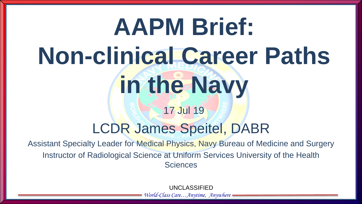# **AAPM Brief: Non-clinical Career Paths in the Navy** 17 Jul 19

#### LCDR James Speitel, DABR

Assistant Specialty Leader for Medical Physics, Navy Bureau of Medicine and Surgery Instructor of Radiological Science at Uniform Services University of the Health **Sciences** 

UNCLASSIFIED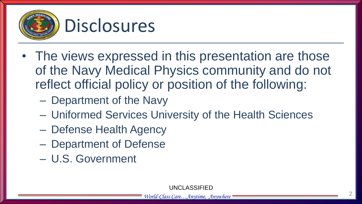

- The views expressed in this presentation are those of the Navy Medical Physics community and do not reflect official policy or position of the following:
	- Department of the Navy
	- Uniformed Services University of the Health Sciences
	- Defense Health Agency
	- Department of Defense
	- U.S. Government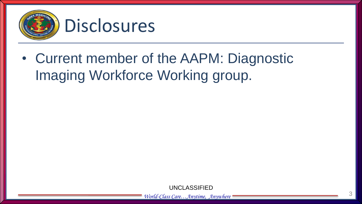

• Current member of the AAPM: Diagnostic Imaging Workforce Working group.

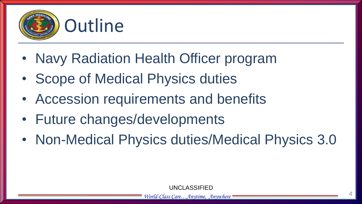

- Navy Radiation Health Officer program
- Scope of Medical Physics duties
- Accession requirements and benefits
- Future changes/developments
- Non-Medical Physics duties/Medical Physics 3.0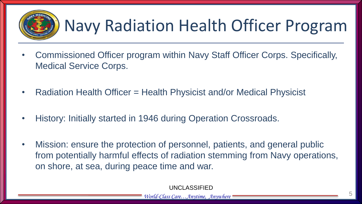

### Navy Radiation Health Officer Program

- Commissioned Officer program within Navy Staff Officer Corps. Specifically, Medical Service Corps.
- Radiation Health Officer = Health Physicist and/or Medical Physicist
- History: Initially started in 1946 during Operation Crossroads.
- Mission: ensure the protection of personnel, patients, and general public from potentially harmful effects of radiation stemming from Navy operations, on shore, at sea, during peace time and war.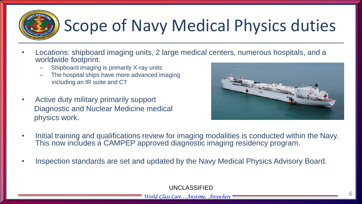# Scope of Navy Medical Physics duties

- Locations: shipboard imaging units, 2 large medical centers, numerous hospitals, and a worldwide footprint.
	- Shipboard imaging is primarily X-ray units
	- The hospital ships have more advanced imaging including an IR suite and CT
- Active duty military primarily support Diagnostic and Nuclear Medicine medical physics work.



- Initial training and qualifications review for imaging modalities is conducted within the Navy. This now includes a CAMPEP approved diagnostic imaging residency program.
- Inspection standards are set and updated by the Navy Medical Physics Advisory Board.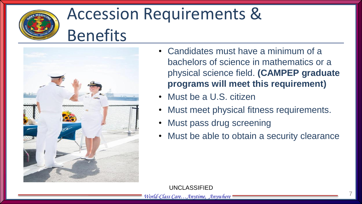

### Accession Requirements & Benefits



- Candidates must have a minimum of a bachelors of science in mathematics or a physical science field. **(CAMPEP graduate programs will meet this requirement)**
- Must be a U.S. citizen
- Must meet physical fitness requirements.
- Must pass drug screening
- Must be able to obtain a security clearance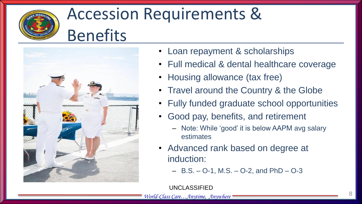

#### Accession Requirements & Benefits



- Loan repayment & scholarships
- Full medical & dental healthcare coverage
- Housing allowance (tax free)
- Travel around the Country & the Globe
- Fully funded graduate school opportunities
- Good pay, benefits, and retirement
	- Note: While 'good' it is below AAPM avg salary estimates
- Advanced rank based on degree at induction:
	- $-$  B.S.  $-$  O-1, M.S.  $-$  O-2, and PhD  $-$  O-3

UNCLASSIFIED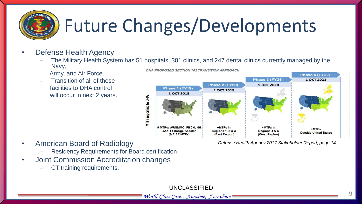# Future Changes/Developments

- Defense Health Agency
	- The Military Health System has 51 hospitals, 381 clinics, and 247 dental clinics currently managed by the Navy, DHA PROPOSED SECTION 702 TRANSITION APPROACH
		- Army, and Air Force.
	- Transition of all of these facilities to DHA control will occur in next 2 years.

Phase 4 (FY22) Phase 3 (FY21) 1 OCT 2021 1 OCT 2020 Phase 2 (FY20) Phase 1 (FY19) 1 OCT 2019 1 OCT 2018 **MTFs reporting to DHA** 5 MTFs: WRNMMC, FBCH, NH  $+MTFs$  in  $+MTFs$  in  $+MTFs$ **JAX. Ft Bragg. Keesler Regions 1, 2 & 3** Regions 4 & 5 **Outside United States** (West Region) (& 2 AF MTFs) (East Region)

*Defense Health Agency 2017 Stakeholder Report, page 14.*

- American Board of Radiology
	- Residency Requirements for Board certification
- Joint Commission Accreditation changes
	- CT training requirements.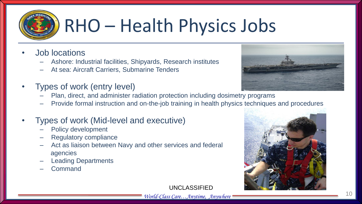

## RHO – Health Physics Jobs

- Job locations
	- Ashore: Industrial facilities, Shipyards, Research institutes
	- At sea: Aircraft Carriers, Submarine Tenders
- Types of work (entry level)
	- Plan, direct, and administer radiation protection including dosimetry programs
	- Provide formal instruction and on-the-job training in health physics techniques and procedures

#### • Types of work (Mid-level and executive)

- Policy development
- Regulatory compliance
- Act as liaison between Navy and other services and federal agencies
- Leading Departments
- Command

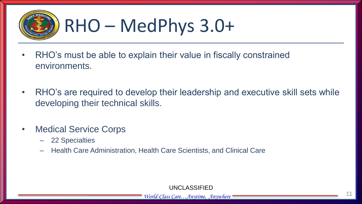

## RHO – MedPhys 3.0+

- RHO's must be able to explain their value in fiscally constrained environments.
- RHO's are required to develop their leadership and executive skill sets while developing their technical skills.
- Medical Service Corps
	- 22 Specialties
	- Health Care Administration, Health Care Scientists, and Clinical Care